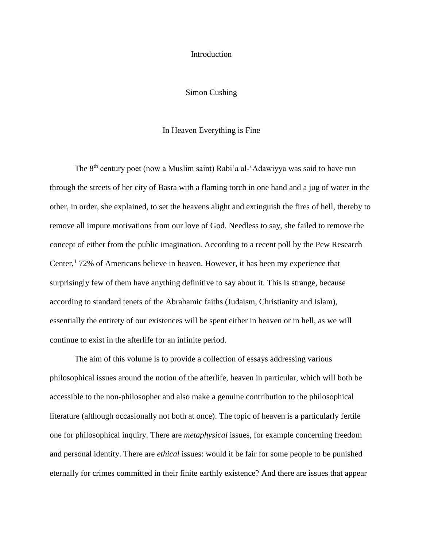## Introduction

# Simon Cushing

## In Heaven Everything is Fine

The 8th century poet (now a Muslim saint) Rabi'a al-'Adawiyya was said to have run through the streets of her city of Basra with a flaming torch in one hand and a jug of water in the other, in order, she explained, to set the heavens alight and extinguish the fires of hell, thereby to remove all impure motivations from our love of God. Needless to say, she failed to remove the concept of either from the public imagination. According to a recent poll by the Pew Research Center,<sup>1</sup> 72% of Americans believe in heaven. However, it has been my experience that surprisingly few of them have anything definitive to say about it. This is strange, because according to standard tenets of the Abrahamic faiths (Judaism, Christianity and Islam), essentially the entirety of our existences will be spent either in heaven or in hell, as we will continue to exist in the afterlife for an infinite period.

The aim of this volume is to provide a collection of essays addressing various philosophical issues around the notion of the afterlife, heaven in particular, which will both be accessible to the non-philosopher and also make a genuine contribution to the philosophical literature (although occasionally not both at once). The topic of heaven is a particularly fertile one for philosophical inquiry. There are *metaphysical* issues, for example concerning freedom and personal identity. There are *ethical* issues: would it be fair for some people to be punished eternally for crimes committed in their finite earthly existence? And there are issues that appear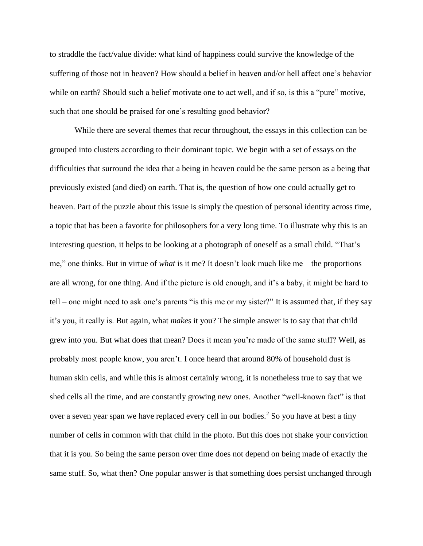to straddle the fact/value divide: what kind of happiness could survive the knowledge of the suffering of those not in heaven? How should a belief in heaven and/or hell affect one's behavior while on earth? Should such a belief motivate one to act well, and if so, is this a "pure" motive, such that one should be praised for one's resulting good behavior?

While there are several themes that recur throughout, the essays in this collection can be grouped into clusters according to their dominant topic. We begin with a set of essays on the difficulties that surround the idea that a being in heaven could be the same person as a being that previously existed (and died) on earth. That is, the question of how one could actually get to heaven. Part of the puzzle about this issue is simply the question of personal identity across time, a topic that has been a favorite for philosophers for a very long time. To illustrate why this is an interesting question, it helps to be looking at a photograph of oneself as a small child. "That's me," one thinks. But in virtue of *what* is it me? It doesn't look much like me – the proportions are all wrong, for one thing. And if the picture is old enough, and it's a baby, it might be hard to tell – one might need to ask one's parents "is this me or my sister?" It is assumed that, if they say it's you, it really is. But again, what *makes* it you? The simple answer is to say that that child grew into you. But what does that mean? Does it mean you're made of the same stuff? Well, as probably most people know, you aren't. I once heard that around 80% of household dust is human skin cells, and while this is almost certainly wrong, it is nonetheless true to say that we shed cells all the time, and are constantly growing new ones. Another "well-known fact" is that over a seven year span we have replaced every cell in our bodies.<sup>2</sup> So you have at best a tiny number of cells in common with that child in the photo. But this does not shake your conviction that it is you. So being the same person over time does not depend on being made of exactly the same stuff. So, what then? One popular answer is that something does persist unchanged through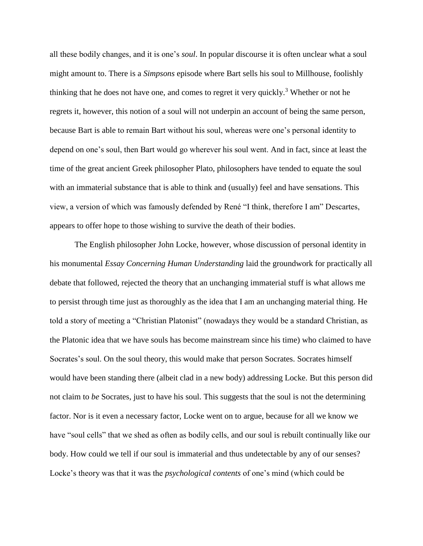all these bodily changes, and it is one's *soul*. In popular discourse it is often unclear what a soul might amount to. There is a *Simpsons* episode where Bart sells his soul to Millhouse, foolishly thinking that he does not have one, and comes to regret it very quickly.<sup>3</sup> Whether or not he regrets it, however, this notion of a soul will not underpin an account of being the same person, because Bart is able to remain Bart without his soul, whereas were one's personal identity to depend on one's soul, then Bart would go wherever his soul went. And in fact, since at least the time of the great ancient Greek philosopher Plato, philosophers have tended to equate the soul with an immaterial substance that is able to think and (usually) feel and have sensations. This view, a version of which was famously defended by René "I think, therefore I am" Descartes, appears to offer hope to those wishing to survive the death of their bodies.

The English philosopher John Locke, however, whose discussion of personal identity in his monumental *Essay Concerning Human Understanding* laid the groundwork for practically all debate that followed, rejected the theory that an unchanging immaterial stuff is what allows me to persist through time just as thoroughly as the idea that I am an unchanging material thing. He told a story of meeting a "Christian Platonist" (nowadays they would be a standard Christian, as the Platonic idea that we have souls has become mainstream since his time) who claimed to have Socrates's soul. On the soul theory, this would make that person Socrates. Socrates himself would have been standing there (albeit clad in a new body) addressing Locke. But this person did not claim to *be* Socrates, just to have his soul. This suggests that the soul is not the determining factor. Nor is it even a necessary factor, Locke went on to argue, because for all we know we have "soul cells" that we shed as often as bodily cells, and our soul is rebuilt continually like our body. How could we tell if our soul is immaterial and thus undetectable by any of our senses? Locke's theory was that it was the *psychological contents* of one's mind (which could be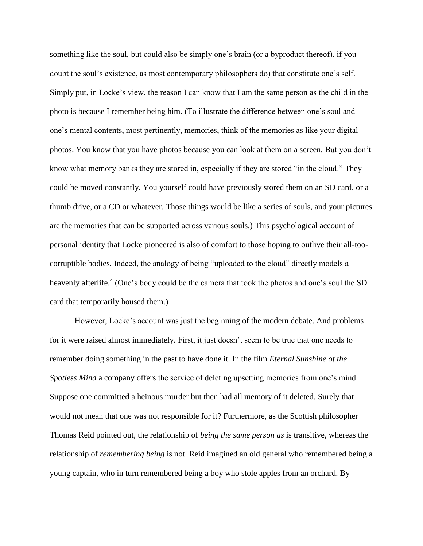something like the soul, but could also be simply one's brain (or a byproduct thereof), if you doubt the soul's existence, as most contemporary philosophers do) that constitute one's self. Simply put, in Locke's view, the reason I can know that I am the same person as the child in the photo is because I remember being him. (To illustrate the difference between one's soul and one's mental contents, most pertinently, memories, think of the memories as like your digital photos. You know that you have photos because you can look at them on a screen. But you don't know what memory banks they are stored in, especially if they are stored "in the cloud." They could be moved constantly. You yourself could have previously stored them on an SD card, or a thumb drive, or a CD or whatever. Those things would be like a series of souls, and your pictures are the memories that can be supported across various souls.) This psychological account of personal identity that Locke pioneered is also of comfort to those hoping to outlive their all-toocorruptible bodies. Indeed, the analogy of being "uploaded to the cloud" directly models a heavenly afterlife.<sup>4</sup> (One's body could be the camera that took the photos and one's soul the SD card that temporarily housed them.)

However, Locke's account was just the beginning of the modern debate. And problems for it were raised almost immediately. First, it just doesn't seem to be true that one needs to remember doing something in the past to have done it. In the film *Eternal Sunshine of the Spotless Mind* a company offers the service of deleting upsetting memories from one's mind. Suppose one committed a heinous murder but then had all memory of it deleted. Surely that would not mean that one was not responsible for it? Furthermore, as the Scottish philosopher Thomas Reid pointed out, the relationship of *being the same person as* is transitive, whereas the relationship of *remembering being* is not. Reid imagined an old general who remembered being a young captain, who in turn remembered being a boy who stole apples from an orchard. By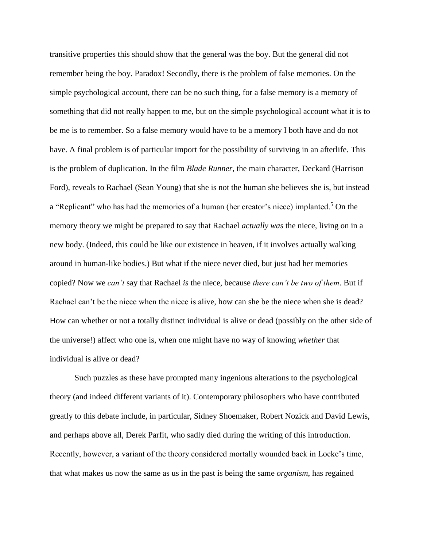transitive properties this should show that the general was the boy. But the general did not remember being the boy. Paradox! Secondly, there is the problem of false memories. On the simple psychological account, there can be no such thing, for a false memory is a memory of something that did not really happen to me, but on the simple psychological account what it is to be me is to remember. So a false memory would have to be a memory I both have and do not have. A final problem is of particular import for the possibility of surviving in an afterlife. This is the problem of duplication. In the film *Blade Runner*, the main character, Deckard (Harrison Ford), reveals to Rachael (Sean Young) that she is not the human she believes she is, but instead a "Replicant" who has had the memories of a human (her creator's niece) implanted.<sup>5</sup> On the memory theory we might be prepared to say that Rachael *actually was* the niece, living on in a new body. (Indeed, this could be like our existence in heaven, if it involves actually walking around in human-like bodies.) But what if the niece never died, but just had her memories copied? Now we *can't* say that Rachael *is* the niece, because *there can't be two of them*. But if Rachael can't be the niece when the niece is alive, how can she be the niece when she is dead? How can whether or not a totally distinct individual is alive or dead (possibly on the other side of the universe!) affect who one is, when one might have no way of knowing *whether* that individual is alive or dead?

Such puzzles as these have prompted many ingenious alterations to the psychological theory (and indeed different variants of it). Contemporary philosophers who have contributed greatly to this debate include, in particular, Sidney Shoemaker, Robert Nozick and David Lewis, and perhaps above all, Derek Parfit, who sadly died during the writing of this introduction. Recently, however, a variant of the theory considered mortally wounded back in Locke's time, that what makes us now the same as us in the past is being the same *organism*, has regained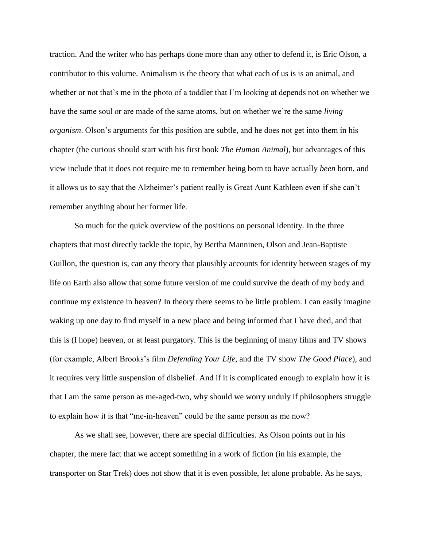traction. And the writer who has perhaps done more than any other to defend it, is Eric Olson, a contributor to this volume. Animalism is the theory that what each of us is is an animal, and whether or not that's me in the photo of a toddler that I'm looking at depends not on whether we have the same soul or are made of the same atoms, but on whether we're the same *living organism*. Olson's arguments for this position are subtle, and he does not get into them in his chapter (the curious should start with his first book *The Human Animal*), but advantages of this view include that it does not require me to remember being born to have actually *been* born, and it allows us to say that the Alzheimer's patient really is Great Aunt Kathleen even if she can't remember anything about her former life.

So much for the quick overview of the positions on personal identity. In the three chapters that most directly tackle the topic, by Bertha Manninen, Olson and Jean-Baptiste Guillon, the question is, can any theory that plausibly accounts for identity between stages of my life on Earth also allow that some future version of me could survive the death of my body and continue my existence in heaven? In theory there seems to be little problem. I can easily imagine waking up one day to find myself in a new place and being informed that I have died, and that this is (I hope) heaven, or at least purgatory. This is the beginning of many films and TV shows (for example, Albert Brooks's film *Defending Your Life*, and the TV show *The Good Place*), and it requires very little suspension of disbelief. And if it is complicated enough to explain how it is that I am the same person as me-aged-two, why should we worry unduly if philosophers struggle to explain how it is that "me-in-heaven" could be the same person as me now?

As we shall see, however, there are special difficulties. As Olson points out in his chapter, the mere fact that we accept something in a work of fiction (in his example, the transporter on Star Trek) does not show that it is even possible, let alone probable. As he says,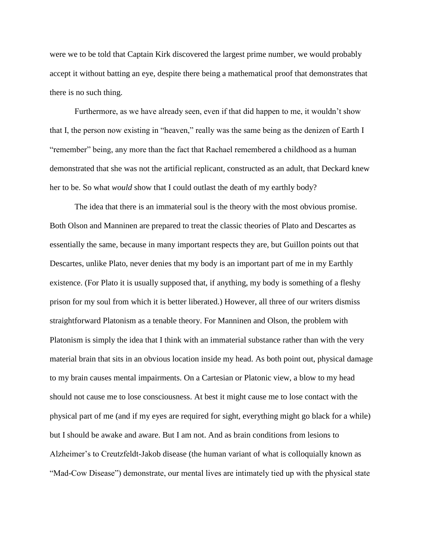were we to be told that Captain Kirk discovered the largest prime number, we would probably accept it without batting an eye, despite there being a mathematical proof that demonstrates that there is no such thing.

Furthermore, as we have already seen, even if that did happen to me, it wouldn't show that I, the person now existing in "heaven," really was the same being as the denizen of Earth I "remember" being, any more than the fact that Rachael remembered a childhood as a human demonstrated that she was not the artificial replicant, constructed as an adult, that Deckard knew her to be. So what *would* show that I could outlast the death of my earthly body?

The idea that there is an immaterial soul is the theory with the most obvious promise. Both Olson and Manninen are prepared to treat the classic theories of Plato and Descartes as essentially the same, because in many important respects they are, but Guillon points out that Descartes, unlike Plato, never denies that my body is an important part of me in my Earthly existence. (For Plato it is usually supposed that, if anything, my body is something of a fleshy prison for my soul from which it is better liberated.) However, all three of our writers dismiss straightforward Platonism as a tenable theory. For Manninen and Olson, the problem with Platonism is simply the idea that I think with an immaterial substance rather than with the very material brain that sits in an obvious location inside my head. As both point out, physical damage to my brain causes mental impairments. On a Cartesian or Platonic view, a blow to my head should not cause me to lose consciousness. At best it might cause me to lose contact with the physical part of me (and if my eyes are required for sight, everything might go black for a while) but I should be awake and aware. But I am not. And as brain conditions from lesions to Alzheimer's to Creutzfeldt-Jakob disease (the human variant of what is colloquially known as "Mad-Cow Disease") demonstrate, our mental lives are intimately tied up with the physical state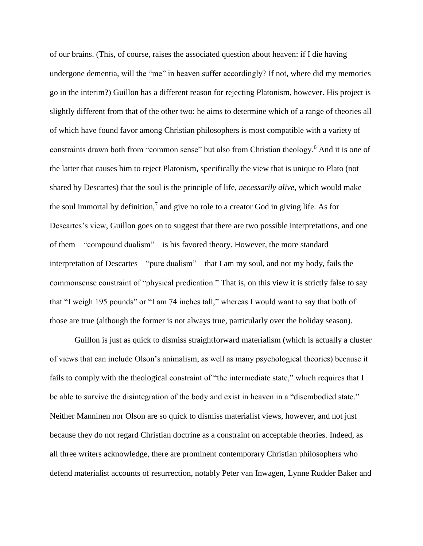of our brains. (This, of course, raises the associated question about heaven: if I die having undergone dementia, will the "me" in heaven suffer accordingly? If not, where did my memories go in the interim?) Guillon has a different reason for rejecting Platonism, however. His project is slightly different from that of the other two: he aims to determine which of a range of theories all of which have found favor among Christian philosophers is most compatible with a variety of constraints drawn both from "common sense" but also from Christian theology.<sup>6</sup> And it is one of the latter that causes him to reject Platonism, specifically the view that is unique to Plato (not shared by Descartes) that the soul is the principle of life, *necessarily alive*, which would make the soul immortal by definition,<sup>7</sup> and give no role to a creator God in giving life. As for Descartes's view, Guillon goes on to suggest that there are two possible interpretations, and one of them – "compound dualism" – is his favored theory. However, the more standard interpretation of Descartes – "pure dualism" – that I am my soul, and not my body, fails the commonsense constraint of "physical predication." That is, on this view it is strictly false to say that "I weigh 195 pounds" or "I am 74 inches tall," whereas I would want to say that both of those are true (although the former is not always true, particularly over the holiday season).

Guillon is just as quick to dismiss straightforward materialism (which is actually a cluster of views that can include Olson's animalism, as well as many psychological theories) because it fails to comply with the theological constraint of "the intermediate state," which requires that I be able to survive the disintegration of the body and exist in heaven in a "disembodied state." Neither Manninen nor Olson are so quick to dismiss materialist views, however, and not just because they do not regard Christian doctrine as a constraint on acceptable theories. Indeed, as all three writers acknowledge, there are prominent contemporary Christian philosophers who defend materialist accounts of resurrection, notably Peter van Inwagen, Lynne Rudder Baker and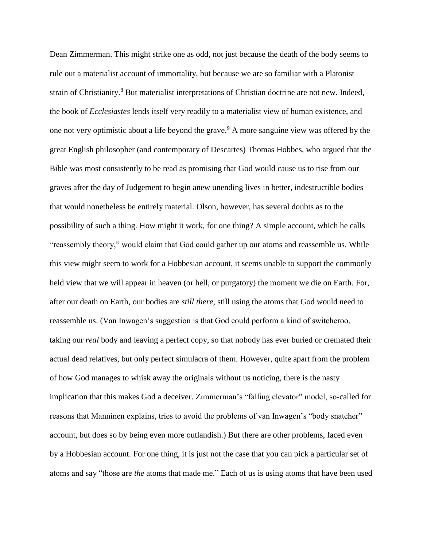Dean Zimmerman. This might strike one as odd, not just because the death of the body seems to rule out a materialist account of immortality, but because we are so familiar with a Platonist strain of Christianity.<sup>8</sup> But materialist interpretations of Christian doctrine are not new. Indeed, the book of *Ecclesiastes* lends itself very readily to a materialist view of human existence, and one not very optimistic about a life beyond the grave.<sup>9</sup> A more sanguine view was offered by the great English philosopher (and contemporary of Descartes) Thomas Hobbes, who argued that the Bible was most consistently to be read as promising that God would cause us to rise from our graves after the day of Judgement to begin anew unending lives in better, indestructible bodies that would nonetheless be entirely material. Olson, however, has several doubts as to the possibility of such a thing. How might it work, for one thing? A simple account, which he calls "reassembly theory," would claim that God could gather up our atoms and reassemble us. While this view might seem to work for a Hobbesian account, it seems unable to support the commonly held view that we will appear in heaven (or hell, or purgatory) the moment we die on Earth. For, after our death on Earth, our bodies are *still there*, still using the atoms that God would need to reassemble us. (Van Inwagen's suggestion is that God could perform a kind of switcheroo, taking our *real* body and leaving a perfect copy, so that nobody has ever buried or cremated their actual dead relatives, but only perfect simulacra of them. However, quite apart from the problem of how God manages to whisk away the originals without us noticing, there is the nasty implication that this makes God a deceiver. Zimmerman's "falling elevator" model, so-called for reasons that Manninen explains, tries to avoid the problems of van Inwagen's "body snatcher" account, but does so by being even more outlandish.) But there are other problems, faced even by a Hobbesian account. For one thing, it is just not the case that you can pick a particular set of atoms and say "those are *the* atoms that made me." Each of us is using atoms that have been used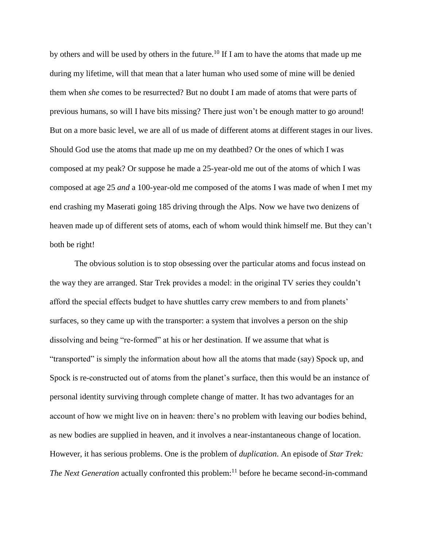by others and will be used by others in the future.<sup>10</sup> If I am to have the atoms that made up me during my lifetime, will that mean that a later human who used some of mine will be denied them when *she* comes to be resurrected? But no doubt I am made of atoms that were parts of previous humans, so will I have bits missing? There just won't be enough matter to go around! But on a more basic level, we are all of us made of different atoms at different stages in our lives. Should God use the atoms that made up me on my deathbed? Or the ones of which I was composed at my peak? Or suppose he made a 25-year-old me out of the atoms of which I was composed at age 25 *and* a 100-year-old me composed of the atoms I was made of when I met my end crashing my Maserati going 185 driving through the Alps. Now we have two denizens of heaven made up of different sets of atoms, each of whom would think himself me. But they can't both be right!

The obvious solution is to stop obsessing over the particular atoms and focus instead on the way they are arranged. Star Trek provides a model: in the original TV series they couldn't afford the special effects budget to have shuttles carry crew members to and from planets' surfaces, so they came up with the transporter: a system that involves a person on the ship dissolving and being "re-formed" at his or her destination. If we assume that what is "transported" is simply the information about how all the atoms that made (say) Spock up, and Spock is re-constructed out of atoms from the planet's surface, then this would be an instance of personal identity surviving through complete change of matter. It has two advantages for an account of how we might live on in heaven: there's no problem with leaving our bodies behind, as new bodies are supplied in heaven, and it involves a near-instantaneous change of location. However, it has serious problems. One is the problem of *duplication*. An episode of *Star Trek: The Next Generation* actually confronted this problem:<sup>11</sup> before he became second-in-command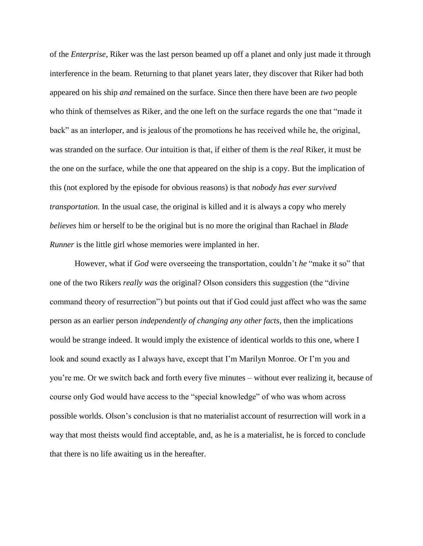of the *Enterprise*, Riker was the last person beamed up off a planet and only just made it through interference in the beam. Returning to that planet years later, they discover that Riker had both appeared on his ship *and* remained on the surface. Since then there have been are *two* people who think of themselves as Riker, and the one left on the surface regards the one that "made it back" as an interloper, and is jealous of the promotions he has received while he, the original, was stranded on the surface. Our intuition is that, if either of them is the *real* Riker, it must be the one on the surface, while the one that appeared on the ship is a copy. But the implication of this (not explored by the episode for obvious reasons) is that *nobody has ever survived transportation*. In the usual case, the original is killed and it is always a copy who merely *believes* him or herself to be the original but is no more the original than Rachael in *Blade Runner* is the little girl whose memories were implanted in her.

However, what if *God* were overseeing the transportation, couldn't *he* "make it so" that one of the two Rikers *really was* the original? Olson considers this suggestion (the "divine command theory of resurrection") but points out that if God could just affect who was the same person as an earlier person *independently of changing any other facts*, then the implications would be strange indeed. It would imply the existence of identical worlds to this one, where I look and sound exactly as I always have, except that I'm Marilyn Monroe. Or I'm you and you're me. Or we switch back and forth every five minutes – without ever realizing it, because of course only God would have access to the "special knowledge" of who was whom across possible worlds. Olson's conclusion is that no materialist account of resurrection will work in a way that most theists would find acceptable, and, as he is a materialist, he is forced to conclude that there is no life awaiting us in the hereafter.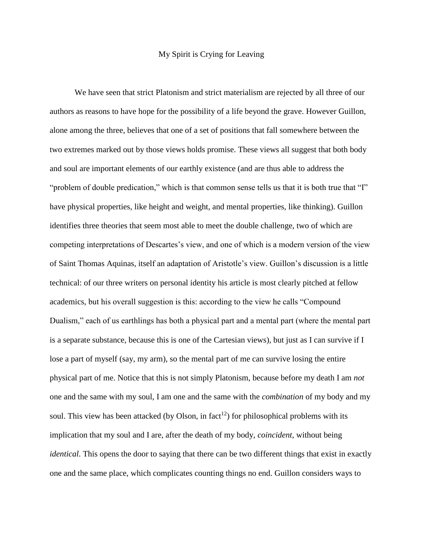# My Spirit is Crying for Leaving

We have seen that strict Platonism and strict materialism are rejected by all three of our authors as reasons to have hope for the possibility of a life beyond the grave. However Guillon, alone among the three, believes that one of a set of positions that fall somewhere between the two extremes marked out by those views holds promise. These views all suggest that both body and soul are important elements of our earthly existence (and are thus able to address the "problem of double predication," which is that common sense tells us that it is both true that "I" have physical properties, like height and weight, and mental properties, like thinking). Guillon identifies three theories that seem most able to meet the double challenge, two of which are competing interpretations of Descartes's view, and one of which is a modern version of the view of Saint Thomas Aquinas, itself an adaptation of Aristotle's view. Guillon's discussion is a little technical: of our three writers on personal identity his article is most clearly pitched at fellow academics, but his overall suggestion is this: according to the view he calls "Compound Dualism," each of us earthlings has both a physical part and a mental part (where the mental part is a separate substance, because this is one of the Cartesian views), but just as I can survive if I lose a part of myself (say, my arm), so the mental part of me can survive losing the entire physical part of me. Notice that this is not simply Platonism, because before my death I am *not* one and the same with my soul, I am one and the same with the *combination* of my body and my soul. This view has been attacked (by Olson, in fact<sup>12</sup>) for philosophical problems with its implication that my soul and I are, after the death of my body, *coincident*, without being *identical*. This opens the door to saying that there can be two different things that exist in exactly one and the same place, which complicates counting things no end. Guillon considers ways to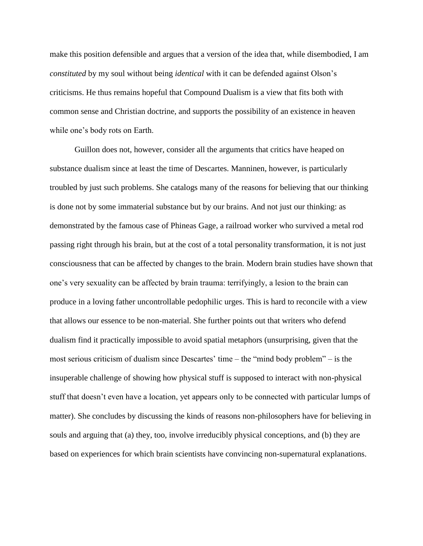make this position defensible and argues that a version of the idea that, while disembodied, I am *constituted* by my soul without being *identical* with it can be defended against Olson's criticisms. He thus remains hopeful that Compound Dualism is a view that fits both with common sense and Christian doctrine, and supports the possibility of an existence in heaven while one's body rots on Earth.

Guillon does not, however, consider all the arguments that critics have heaped on substance dualism since at least the time of Descartes. Manninen, however, is particularly troubled by just such problems. She catalogs many of the reasons for believing that our thinking is done not by some immaterial substance but by our brains. And not just our thinking: as demonstrated by the famous case of Phineas Gage, a railroad worker who survived a metal rod passing right through his brain, but at the cost of a total personality transformation, it is not just consciousness that can be affected by changes to the brain. Modern brain studies have shown that one's very sexuality can be affected by brain trauma: terrifyingly, a lesion to the brain can produce in a loving father uncontrollable pedophilic urges. This is hard to reconcile with a view that allows our essence to be non-material. She further points out that writers who defend dualism find it practically impossible to avoid spatial metaphors (unsurprising, given that the most serious criticism of dualism since Descartes' time – the "mind body problem" – is the insuperable challenge of showing how physical stuff is supposed to interact with non-physical stuff that doesn't even have a location, yet appears only to be connected with particular lumps of matter). She concludes by discussing the kinds of reasons non-philosophers have for believing in souls and arguing that (a) they, too, involve irreducibly physical conceptions, and (b) they are based on experiences for which brain scientists have convincing non-supernatural explanations.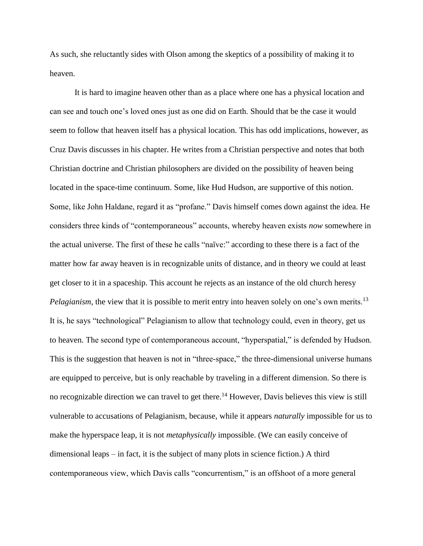As such, she reluctantly sides with Olson among the skeptics of a possibility of making it to heaven.

It is hard to imagine heaven other than as a place where one has a physical location and can see and touch one's loved ones just as one did on Earth. Should that be the case it would seem to follow that heaven itself has a physical location. This has odd implications, however, as Cruz Davis discusses in his chapter. He writes from a Christian perspective and notes that both Christian doctrine and Christian philosophers are divided on the possibility of heaven being located in the space-time continuum. Some, like Hud Hudson, are supportive of this notion. Some, like John Haldane, regard it as "profane." Davis himself comes down against the idea. He considers three kinds of "contemporaneous" accounts, whereby heaven exists *now* somewhere in the actual universe. The first of these he calls "naïve:" according to these there is a fact of the matter how far away heaven is in recognizable units of distance, and in theory we could at least get closer to it in a spaceship. This account he rejects as an instance of the old church heresy *Pelagianism*, the view that it is possible to merit entry into heaven solely on one's own merits.<sup>13</sup> It is, he says "technological" Pelagianism to allow that technology could, even in theory, get us to heaven. The second type of contemporaneous account, "hyperspatial," is defended by Hudson. This is the suggestion that heaven is not in "three-space," the three-dimensional universe humans are equipped to perceive, but is only reachable by traveling in a different dimension. So there is no recognizable direction we can travel to get there.<sup>14</sup> However, Davis believes this view is still vulnerable to accusations of Pelagianism, because, while it appears *naturally* impossible for us to make the hyperspace leap, it is not *metaphysically* impossible. (We can easily conceive of dimensional leaps – in fact, it is the subject of many plots in science fiction.) A third contemporaneous view, which Davis calls "concurrentism," is an offshoot of a more general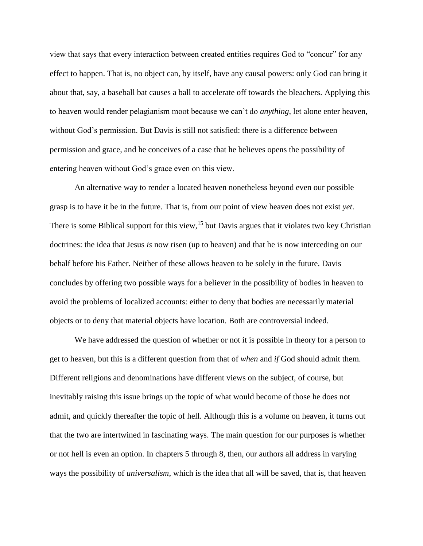view that says that every interaction between created entities requires God to "concur" for any effect to happen. That is, no object can, by itself, have any causal powers: only God can bring it about that, say, a baseball bat causes a ball to accelerate off towards the bleachers. Applying this to heaven would render pelagianism moot because we can't do *anything*, let alone enter heaven, without God's permission. But Davis is still not satisfied: there is a difference between permission and grace, and he conceives of a case that he believes opens the possibility of entering heaven without God's grace even on this view.

An alternative way to render a located heaven nonetheless beyond even our possible grasp is to have it be in the future. That is, from our point of view heaven does not exist *yet*. There is some Biblical support for this view,<sup>15</sup> but Davis argues that it violates two key Christian doctrines: the idea that Jesus *is* now risen (up to heaven) and that he is now interceding on our behalf before his Father. Neither of these allows heaven to be solely in the future. Davis concludes by offering two possible ways for a believer in the possibility of bodies in heaven to avoid the problems of localized accounts: either to deny that bodies are necessarily material objects or to deny that material objects have location. Both are controversial indeed.

We have addressed the question of whether or not it is possible in theory for a person to get to heaven, but this is a different question from that of *when* and *if* God should admit them. Different religions and denominations have different views on the subject, of course, but inevitably raising this issue brings up the topic of what would become of those he does not admit, and quickly thereafter the topic of hell. Although this is a volume on heaven, it turns out that the two are intertwined in fascinating ways. The main question for our purposes is whether or not hell is even an option. In chapters 5 through 8, then, our authors all address in varying ways the possibility of *universalism*, which is the idea that all will be saved, that is, that heaven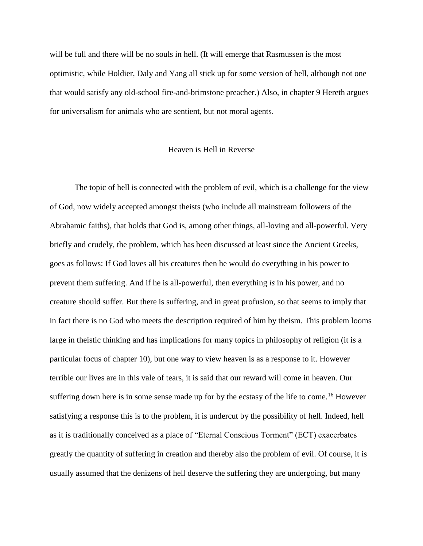will be full and there will be no souls in hell. (It will emerge that Rasmussen is the most optimistic, while Holdier, Daly and Yang all stick up for some version of hell, although not one that would satisfy any old-school fire-and-brimstone preacher.) Also, in chapter 9 Hereth argues for universalism for animals who are sentient, but not moral agents.

# Heaven is Hell in Reverse

The topic of hell is connected with the problem of evil, which is a challenge for the view of God, now widely accepted amongst theists (who include all mainstream followers of the Abrahamic faiths), that holds that God is, among other things, all-loving and all-powerful. Very briefly and crudely, the problem, which has been discussed at least since the Ancient Greeks, goes as follows: If God loves all his creatures then he would do everything in his power to prevent them suffering. And if he is all-powerful, then everything *is* in his power, and no creature should suffer. But there is suffering, and in great profusion, so that seems to imply that in fact there is no God who meets the description required of him by theism. This problem looms large in theistic thinking and has implications for many topics in philosophy of religion (it is a particular focus of chapter 10), but one way to view heaven is as a response to it. However terrible our lives are in this vale of tears, it is said that our reward will come in heaven. Our suffering down here is in some sense made up for by the ecstasy of the life to come.<sup>16</sup> However satisfying a response this is to the problem, it is undercut by the possibility of hell. Indeed, hell as it is traditionally conceived as a place of "Eternal Conscious Torment" (ECT) exacerbates greatly the quantity of suffering in creation and thereby also the problem of evil. Of course, it is usually assumed that the denizens of hell deserve the suffering they are undergoing, but many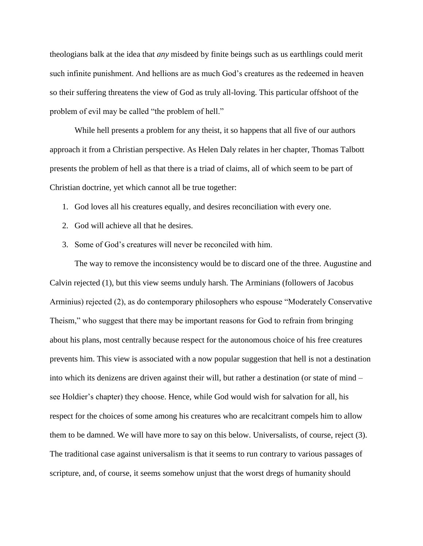theologians balk at the idea that *any* misdeed by finite beings such as us earthlings could merit such infinite punishment. And hellions are as much God's creatures as the redeemed in heaven so their suffering threatens the view of God as truly all-loving. This particular offshoot of the problem of evil may be called "the problem of hell."

While hell presents a problem for any theist, it so happens that all five of our authors approach it from a Christian perspective. As Helen Daly relates in her chapter, Thomas Talbott presents the problem of hell as that there is a triad of claims, all of which seem to be part of Christian doctrine, yet which cannot all be true together:

- 1. God loves all his creatures equally, and desires reconciliation with every one.
- 2. God will achieve all that he desires.
- 3. Some of God's creatures will never be reconciled with him.

The way to remove the inconsistency would be to discard one of the three. Augustine and Calvin rejected (1), but this view seems unduly harsh. The Arminians (followers of Jacobus Arminius) rejected (2), as do contemporary philosophers who espouse "Moderately Conservative Theism," who suggest that there may be important reasons for God to refrain from bringing about his plans, most centrally because respect for the autonomous choice of his free creatures prevents him. This view is associated with a now popular suggestion that hell is not a destination into which its denizens are driven against their will, but rather a destination (or state of mind – see Holdier's chapter) they choose. Hence, while God would wish for salvation for all, his respect for the choices of some among his creatures who are recalcitrant compels him to allow them to be damned. We will have more to say on this below. Universalists, of course, reject (3). The traditional case against universalism is that it seems to run contrary to various passages of scripture, and, of course, it seems somehow unjust that the worst dregs of humanity should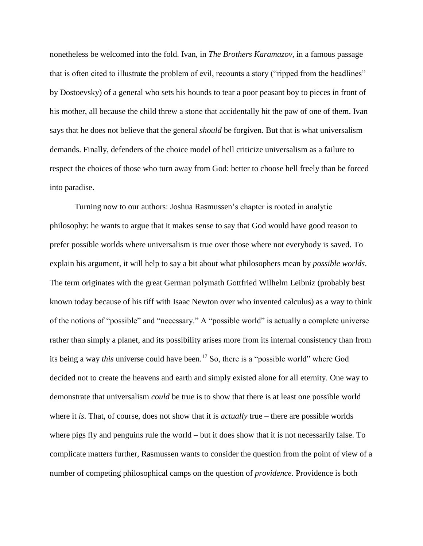nonetheless be welcomed into the fold. Ivan, in *The Brothers Karamazov*, in a famous passage that is often cited to illustrate the problem of evil, recounts a story ("ripped from the headlines" by Dostoevsky) of a general who sets his hounds to tear a poor peasant boy to pieces in front of his mother, all because the child threw a stone that accidentally hit the paw of one of them. Ivan says that he does not believe that the general *should* be forgiven. But that is what universalism demands. Finally, defenders of the choice model of hell criticize universalism as a failure to respect the choices of those who turn away from God: better to choose hell freely than be forced into paradise.

Turning now to our authors: Joshua Rasmussen's chapter is rooted in analytic philosophy: he wants to argue that it makes sense to say that God would have good reason to prefer possible worlds where universalism is true over those where not everybody is saved. To explain his argument, it will help to say a bit about what philosophers mean by *possible worlds*. The term originates with the great German polymath Gottfried Wilhelm Leibniz (probably best known today because of his tiff with Isaac Newton over who invented calculus) as a way to think of the notions of "possible" and "necessary." A "possible world" is actually a complete universe rather than simply a planet, and its possibility arises more from its internal consistency than from its being a way *this* universe could have been.<sup>17</sup> So, there is a "possible world" where God decided not to create the heavens and earth and simply existed alone for all eternity. One way to demonstrate that universalism *could* be true is to show that there is at least one possible world where it *is*. That, of course, does not show that it is *actually* true – there are possible worlds where pigs fly and penguins rule the world – but it does show that it is not necessarily false. To complicate matters further, Rasmussen wants to consider the question from the point of view of a number of competing philosophical camps on the question of *providence*. Providence is both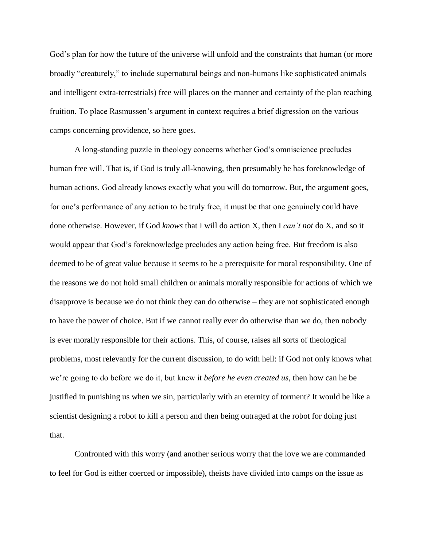God's plan for how the future of the universe will unfold and the constraints that human (or more broadly "creaturely," to include supernatural beings and non-humans like sophisticated animals and intelligent extra-terrestrials) free will places on the manner and certainty of the plan reaching fruition. To place Rasmussen's argument in context requires a brief digression on the various camps concerning providence, so here goes.

A long-standing puzzle in theology concerns whether God's omniscience precludes human free will. That is, if God is truly all-knowing, then presumably he has foreknowledge of human actions. God already knows exactly what you will do tomorrow. But, the argument goes, for one's performance of any action to be truly free, it must be that one genuinely could have done otherwise. However, if God *knows* that I will do action X, then I *can't not* do X, and so it would appear that God's foreknowledge precludes any action being free. But freedom is also deemed to be of great value because it seems to be a prerequisite for moral responsibility. One of the reasons we do not hold small children or animals morally responsible for actions of which we disapprove is because we do not think they can do otherwise – they are not sophisticated enough to have the power of choice. But if we cannot really ever do otherwise than we do, then nobody is ever morally responsible for their actions. This, of course, raises all sorts of theological problems, most relevantly for the current discussion, to do with hell: if God not only knows what we're going to do before we do it, but knew it *before he even created us*, then how can he be justified in punishing us when we sin, particularly with an eternity of torment? It would be like a scientist designing a robot to kill a person and then being outraged at the robot for doing just that.

Confronted with this worry (and another serious worry that the love we are commanded to feel for God is either coerced or impossible), theists have divided into camps on the issue as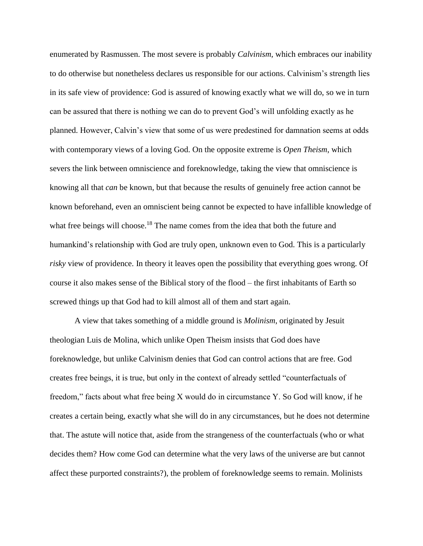enumerated by Rasmussen. The most severe is probably *Calvinism*, which embraces our inability to do otherwise but nonetheless declares us responsible for our actions. Calvinism's strength lies in its safe view of providence: God is assured of knowing exactly what we will do, so we in turn can be assured that there is nothing we can do to prevent God's will unfolding exactly as he planned. However, Calvin's view that some of us were predestined for damnation seems at odds with contemporary views of a loving God. On the opposite extreme is *Open Theism*, which severs the link between omniscience and foreknowledge, taking the view that omniscience is knowing all that *can* be known, but that because the results of genuinely free action cannot be known beforehand, even an omniscient being cannot be expected to have infallible knowledge of what free beings will choose.<sup>18</sup> The name comes from the idea that both the future and humankind's relationship with God are truly open, unknown even to God. This is a particularly *risky* view of providence. In theory it leaves open the possibility that everything goes wrong. Of course it also makes sense of the Biblical story of the flood – the first inhabitants of Earth so screwed things up that God had to kill almost all of them and start again.

A view that takes something of a middle ground is *Molinism*, originated by Jesuit theologian Luis de Molina, which unlike Open Theism insists that God does have foreknowledge, but unlike Calvinism denies that God can control actions that are free. God creates free beings, it is true, but only in the context of already settled "counterfactuals of freedom," facts about what free being X would do in circumstance Y. So God will know, if he creates a certain being, exactly what she will do in any circumstances, but he does not determine that. The astute will notice that, aside from the strangeness of the counterfactuals (who or what decides them? How come God can determine what the very laws of the universe are but cannot affect these purported constraints?), the problem of foreknowledge seems to remain. Molinists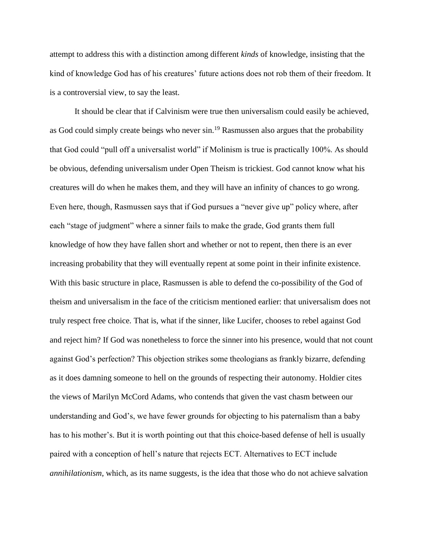attempt to address this with a distinction among different *kinds* of knowledge, insisting that the kind of knowledge God has of his creatures' future actions does not rob them of their freedom. It is a controversial view, to say the least.

It should be clear that if Calvinism were true then universalism could easily be achieved, as God could simply create beings who never  $\sin^{19}$  Rasmussen also argues that the probability that God could "pull off a universalist world" if Molinism is true is practically 100%. As should be obvious, defending universalism under Open Theism is trickiest. God cannot know what his creatures will do when he makes them, and they will have an infinity of chances to go wrong. Even here, though, Rasmussen says that if God pursues a "never give up" policy where, after each "stage of judgment" where a sinner fails to make the grade, God grants them full knowledge of how they have fallen short and whether or not to repent, then there is an ever increasing probability that they will eventually repent at some point in their infinite existence. With this basic structure in place, Rasmussen is able to defend the co-possibility of the God of theism and universalism in the face of the criticism mentioned earlier: that universalism does not truly respect free choice. That is, what if the sinner, like Lucifer, chooses to rebel against God and reject him? If God was nonetheless to force the sinner into his presence, would that not count against God's perfection? This objection strikes some theologians as frankly bizarre, defending as it does damning someone to hell on the grounds of respecting their autonomy. Holdier cites the views of Marilyn McCord Adams, who contends that given the vast chasm between our understanding and God's, we have fewer grounds for objecting to his paternalism than a baby has to his mother's. But it is worth pointing out that this choice-based defense of hell is usually paired with a conception of hell's nature that rejects ECT. Alternatives to ECT include *annihilationism*, which, as its name suggests, is the idea that those who do not achieve salvation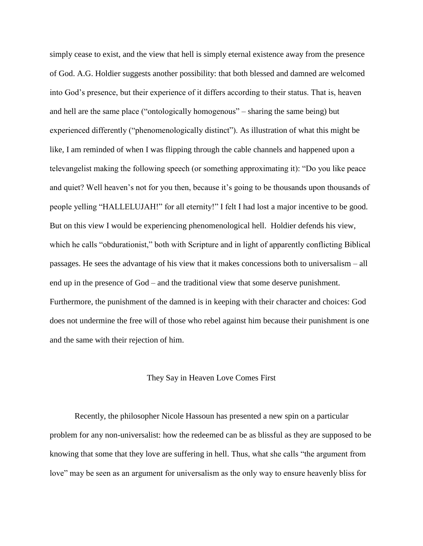simply cease to exist, and the view that hell is simply eternal existence away from the presence of God. A.G. Holdier suggests another possibility: that both blessed and damned are welcomed into God's presence, but their experience of it differs according to their status. That is, heaven and hell are the same place ("ontologically homogenous" – sharing the same being) but experienced differently ("phenomenologically distinct"). As illustration of what this might be like, I am reminded of when I was flipping through the cable channels and happened upon a televangelist making the following speech (or something approximating it): "Do you like peace and quiet? Well heaven's not for you then, because it's going to be thousands upon thousands of people yelling "HALLELUJAH!" for all eternity!" I felt I had lost a major incentive to be good. But on this view I would be experiencing phenomenological hell. Holdier defends his view, which he calls "obdurationist," both with Scripture and in light of apparently conflicting Biblical passages. He sees the advantage of his view that it makes concessions both to universalism – all end up in the presence of God – and the traditional view that some deserve punishment. Furthermore, the punishment of the damned is in keeping with their character and choices: God does not undermine the free will of those who rebel against him because their punishment is one and the same with their rejection of him.

## They Say in Heaven Love Comes First

Recently, the philosopher Nicole Hassoun has presented a new spin on a particular problem for any non-universalist: how the redeemed can be as blissful as they are supposed to be knowing that some that they love are suffering in hell. Thus, what she calls "the argument from love" may be seen as an argument for universalism as the only way to ensure heavenly bliss for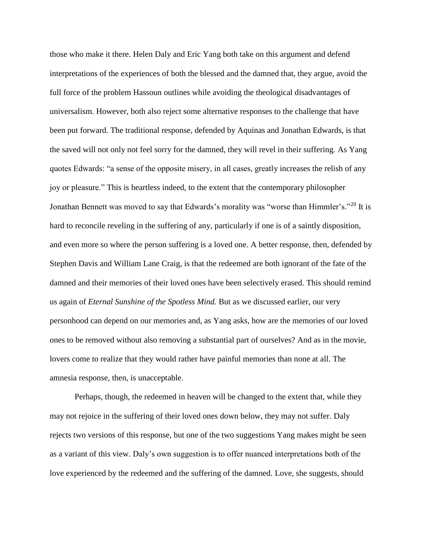those who make it there. Helen Daly and Eric Yang both take on this argument and defend interpretations of the experiences of both the blessed and the damned that, they argue, avoid the full force of the problem Hassoun outlines while avoiding the theological disadvantages of universalism. However, both also reject some alternative responses to the challenge that have been put forward. The traditional response, defended by Aquinas and Jonathan Edwards, is that the saved will not only not feel sorry for the damned, they will revel in their suffering. As Yang quotes Edwards: "a sense of the opposite misery, in all cases, greatly increases the relish of any joy or pleasure." This is heartless indeed, to the extent that the contemporary philosopher Jonathan Bennett was moved to say that Edwards's morality was "worse than Himmler's."<sup>20</sup> It is hard to reconcile reveling in the suffering of any, particularly if one is of a saintly disposition, and even more so where the person suffering is a loved one. A better response, then, defended by Stephen Davis and William Lane Craig, is that the redeemed are both ignorant of the fate of the damned and their memories of their loved ones have been selectively erased. This should remind us again of *Eternal Sunshine of the Spotless Mind.* But as we discussed earlier, our very personhood can depend on our memories and, as Yang asks, how are the memories of our loved ones to be removed without also removing a substantial part of ourselves? And as in the movie, lovers come to realize that they would rather have painful memories than none at all. The amnesia response, then, is unacceptable.

Perhaps, though, the redeemed in heaven will be changed to the extent that, while they may not rejoice in the suffering of their loved ones down below, they may not suffer. Daly rejects two versions of this response, but one of the two suggestions Yang makes might be seen as a variant of this view. Daly's own suggestion is to offer nuanced interpretations both of the love experienced by the redeemed and the suffering of the damned. Love, she suggests, should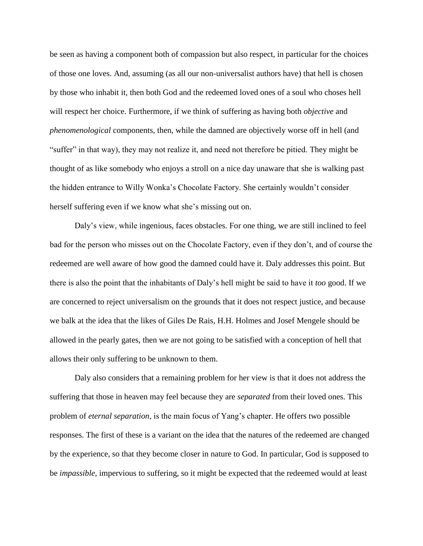be seen as having a component both of compassion but also respect, in particular for the choices of those one loves. And, assuming (as all our non-universalist authors have) that hell is chosen by those who inhabit it, then both God and the redeemed loved ones of a soul who choses hell will respect her choice. Furthermore, if we think of suffering as having both *objective* and *phenomenological* components, then, while the damned are objectively worse off in hell (and "suffer" in that way), they may not realize it, and need not therefore be pitied. They might be thought of as like somebody who enjoys a stroll on a nice day unaware that she is walking past the hidden entrance to Willy Wonka's Chocolate Factory. She certainly wouldn't consider herself suffering even if we know what she's missing out on.

Daly's view, while ingenious, faces obstacles. For one thing, we are still inclined to feel bad for the person who misses out on the Chocolate Factory, even if they don't, and of course the redeemed are well aware of how good the damned could have it. Daly addresses this point. But there is also the point that the inhabitants of Daly's hell might be said to have it *too* good. If we are concerned to reject universalism on the grounds that it does not respect justice, and because we balk at the idea that the likes of Giles De Rais, H.H. Holmes and Josef Mengele should be allowed in the pearly gates, then we are not going to be satisfied with a conception of hell that allows their only suffering to be unknown to them.

Daly also considers that a remaining problem for her view is that it does not address the suffering that those in heaven may feel because they are *separated* from their loved ones. This problem of *eternal separation*, is the main focus of Yang's chapter. He offers two possible responses. The first of these is a variant on the idea that the natures of the redeemed are changed by the experience, so that they become closer in nature to God. In particular, God is supposed to be *impassible*, impervious to suffering, so it might be expected that the redeemed would at least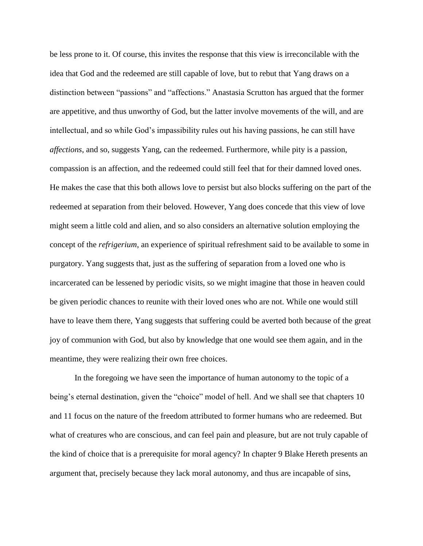be less prone to it. Of course, this invites the response that this view is irreconcilable with the idea that God and the redeemed are still capable of love, but to rebut that Yang draws on a distinction between "passions" and "affections." Anastasia Scrutton has argued that the former are appetitive, and thus unworthy of God, but the latter involve movements of the will, and are intellectual, and so while God's impassibility rules out his having passions, he can still have *affections*, and so, suggests Yang, can the redeemed. Furthermore, while pity is a passion, compassion is an affection, and the redeemed could still feel that for their damned loved ones. He makes the case that this both allows love to persist but also blocks suffering on the part of the redeemed at separation from their beloved. However, Yang does concede that this view of love might seem a little cold and alien, and so also considers an alternative solution employing the concept of the *refrigerium*, an experience of spiritual refreshment said to be available to some in purgatory. Yang suggests that, just as the suffering of separation from a loved one who is incarcerated can be lessened by periodic visits, so we might imagine that those in heaven could be given periodic chances to reunite with their loved ones who are not. While one would still have to leave them there, Yang suggests that suffering could be averted both because of the great joy of communion with God, but also by knowledge that one would see them again, and in the meantime, they were realizing their own free choices.

In the foregoing we have seen the importance of human autonomy to the topic of a being's eternal destination, given the "choice" model of hell. And we shall see that chapters 10 and 11 focus on the nature of the freedom attributed to former humans who are redeemed. But what of creatures who are conscious, and can feel pain and pleasure, but are not truly capable of the kind of choice that is a prerequisite for moral agency? In chapter 9 Blake Hereth presents an argument that, precisely because they lack moral autonomy, and thus are incapable of sins,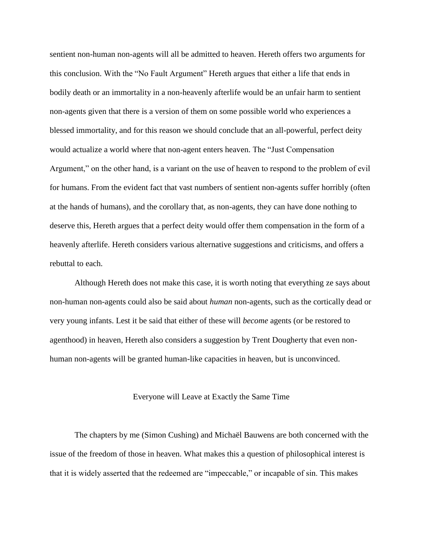sentient non-human non-agents will all be admitted to heaven. Hereth offers two arguments for this conclusion. With the "No Fault Argument" Hereth argues that either a life that ends in bodily death or an immortality in a non-heavenly afterlife would be an unfair harm to sentient non-agents given that there is a version of them on some possible world who experiences a blessed immortality, and for this reason we should conclude that an all-powerful, perfect deity would actualize a world where that non-agent enters heaven. The "Just Compensation Argument," on the other hand, is a variant on the use of heaven to respond to the problem of evil for humans. From the evident fact that vast numbers of sentient non-agents suffer horribly (often at the hands of humans), and the corollary that, as non-agents, they can have done nothing to deserve this, Hereth argues that a perfect deity would offer them compensation in the form of a heavenly afterlife. Hereth considers various alternative suggestions and criticisms, and offers a rebuttal to each.

Although Hereth does not make this case, it is worth noting that everything ze says about non-human non-agents could also be said about *human* non-agents, such as the cortically dead or very young infants. Lest it be said that either of these will *become* agents (or be restored to agenthood) in heaven, Hereth also considers a suggestion by Trent Dougherty that even nonhuman non-agents will be granted human-like capacities in heaven, but is unconvinced.

#### Everyone will Leave at Exactly the Same Time

The chapters by me (Simon Cushing) and Michaël Bauwens are both concerned with the issue of the freedom of those in heaven. What makes this a question of philosophical interest is that it is widely asserted that the redeemed are "impeccable," or incapable of sin. This makes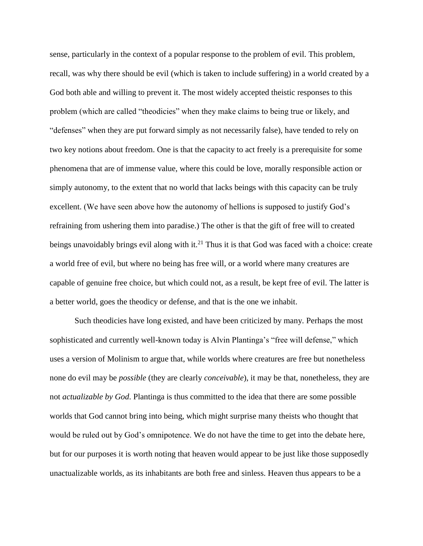sense, particularly in the context of a popular response to the problem of evil. This problem, recall, was why there should be evil (which is taken to include suffering) in a world created by a God both able and willing to prevent it. The most widely accepted theistic responses to this problem (which are called "theodicies" when they make claims to being true or likely, and "defenses" when they are put forward simply as not necessarily false), have tended to rely on two key notions about freedom. One is that the capacity to act freely is a prerequisite for some phenomena that are of immense value, where this could be love, morally responsible action or simply autonomy, to the extent that no world that lacks beings with this capacity can be truly excellent. (We have seen above how the autonomy of hellions is supposed to justify God's refraining from ushering them into paradise.) The other is that the gift of free will to created beings unavoidably brings evil along with it.<sup>21</sup> Thus it is that God was faced with a choice: create a world free of evil, but where no being has free will, or a world where many creatures are capable of genuine free choice, but which could not, as a result, be kept free of evil. The latter is a better world, goes the theodicy or defense, and that is the one we inhabit.

Such theodicies have long existed, and have been criticized by many. Perhaps the most sophisticated and currently well-known today is Alvin Plantinga's "free will defense," which uses a version of Molinism to argue that, while worlds where creatures are free but nonetheless none do evil may be *possible* (they are clearly *conceivable*), it may be that, nonetheless, they are not *actualizable by God*. Plantinga is thus committed to the idea that there are some possible worlds that God cannot bring into being, which might surprise many theists who thought that would be ruled out by God's omnipotence. We do not have the time to get into the debate here, but for our purposes it is worth noting that heaven would appear to be just like those supposedly unactualizable worlds, as its inhabitants are both free and sinless. Heaven thus appears to be a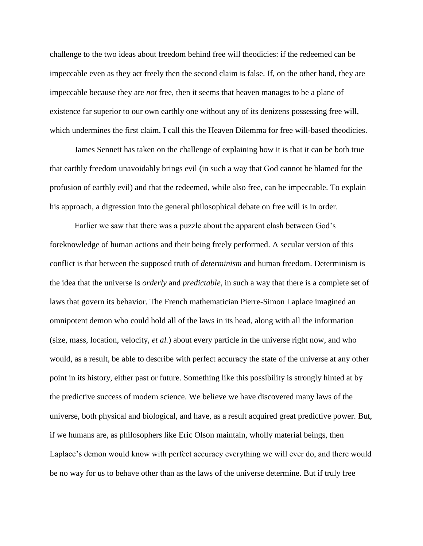challenge to the two ideas about freedom behind free will theodicies: if the redeemed can be impeccable even as they act freely then the second claim is false. If, on the other hand, they are impeccable because they are *not* free, then it seems that heaven manages to be a plane of existence far superior to our own earthly one without any of its denizens possessing free will, which undermines the first claim. I call this the Heaven Dilemma for free will-based theodicies.

James Sennett has taken on the challenge of explaining how it is that it can be both true that earthly freedom unavoidably brings evil (in such a way that God cannot be blamed for the profusion of earthly evil) and that the redeemed, while also free, can be impeccable. To explain his approach, a digression into the general philosophical debate on free will is in order.

Earlier we saw that there was a puzzle about the apparent clash between God's foreknowledge of human actions and their being freely performed. A secular version of this conflict is that between the supposed truth of *determinism* and human freedom. Determinism is the idea that the universe is *orderly* and *predictable*, in such a way that there is a complete set of laws that govern its behavior. The French mathematician Pierre-Simon Laplace imagined an omnipotent demon who could hold all of the laws in its head, along with all the information (size, mass, location, velocity, *et al.*) about every particle in the universe right now, and who would, as a result, be able to describe with perfect accuracy the state of the universe at any other point in its history, either past or future. Something like this possibility is strongly hinted at by the predictive success of modern science. We believe we have discovered many laws of the universe, both physical and biological, and have, as a result acquired great predictive power. But, if we humans are, as philosophers like Eric Olson maintain, wholly material beings, then Laplace's demon would know with perfect accuracy everything we will ever do, and there would be no way for us to behave other than as the laws of the universe determine. But if truly free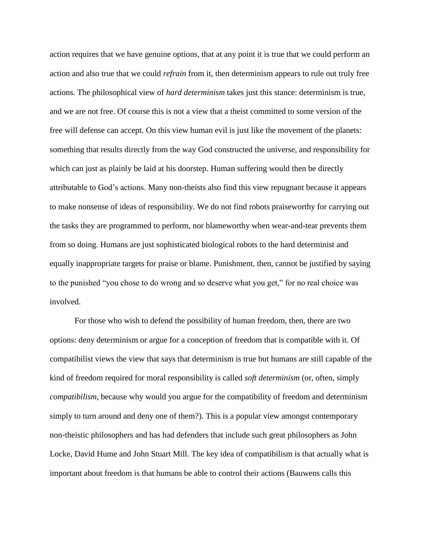action requires that we have genuine options, that at any point it is true that we could perform an action and also true that we could *refrain* from it, then determinism appears to rule out truly free actions. The philosophical view of *hard determinism* takes just this stance: determinism is true, and we are not free. Of course this is not a view that a theist committed to some version of the free will defense can accept. On this view human evil is just like the movement of the planets: something that results directly from the way God constructed the universe, and responsibility for which can just as plainly be laid at his doorstep. Human suffering would then be directly attributable to God's actions. Many non-theists also find this view repugnant because it appears to make nonsense of ideas of responsibility. We do not find robots praiseworthy for carrying out the tasks they are programmed to perform, nor blameworthy when wear-and-tear prevents them from so doing. Humans are just sophisticated biological robots to the hard determinist and equally inappropriate targets for praise or blame. Punishment, then, cannot be justified by saying to the punished "you chose to do wrong and so deserve what you get," for no real choice was involved.

For those who wish to defend the possibility of human freedom, then, there are two options: deny determinism or argue for a conception of freedom that is compatible with it. Of compatibilist views the view that says that determinism is true but humans are still capable of the kind of freedom required for moral responsibility is called *soft determinism* (or, often, simply *compatibilism*, because why would you argue for the compatibility of freedom and determinism simply to turn around and deny one of them?). This is a popular view amongst contemporary non-theistic philosophers and has had defenders that include such great philosophers as John Locke, David Hume and John Stuart Mill. The key idea of compatibilism is that actually what is important about freedom is that humans be able to control their actions (Bauwens calls this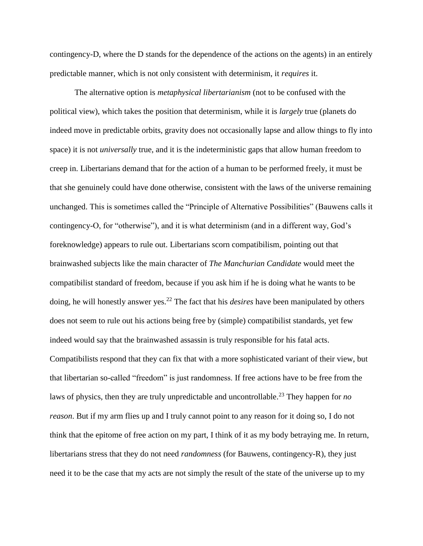contingency-D, where the D stands for the dependence of the actions on the agents) in an entirely predictable manner, which is not only consistent with determinism, it *requires* it.

The alternative option is *metaphysical libertarianism* (not to be confused with the political view), which takes the position that determinism, while it is *largely* true (planets do indeed move in predictable orbits, gravity does not occasionally lapse and allow things to fly into space) it is not *universally* true, and it is the indeterministic gaps that allow human freedom to creep in. Libertarians demand that for the action of a human to be performed freely, it must be that she genuinely could have done otherwise, consistent with the laws of the universe remaining unchanged. This is sometimes called the "Principle of Alternative Possibilities" (Bauwens calls it contingency-O, for "otherwise"), and it is what determinism (and in a different way, God's foreknowledge) appears to rule out. Libertarians scorn compatibilism, pointing out that brainwashed subjects like the main character of *The Manchurian Candidate* would meet the compatibilist standard of freedom, because if you ask him if he is doing what he wants to be doing, he will honestly answer yes.<sup>22</sup> The fact that his *desires* have been manipulated by others does not seem to rule out his actions being free by (simple) compatibilist standards, yet few indeed would say that the brainwashed assassin is truly responsible for his fatal acts. Compatibilists respond that they can fix that with a more sophisticated variant of their view, but that libertarian so-called "freedom" is just randomness. If free actions have to be free from the laws of physics, then they are truly unpredictable and uncontrollable.<sup>23</sup> They happen for *no reason*. But if my arm flies up and I truly cannot point to any reason for it doing so, I do not think that the epitome of free action on my part, I think of it as my body betraying me. In return, libertarians stress that they do not need *randomness* (for Bauwens, contingency-R), they just need it to be the case that my acts are not simply the result of the state of the universe up to my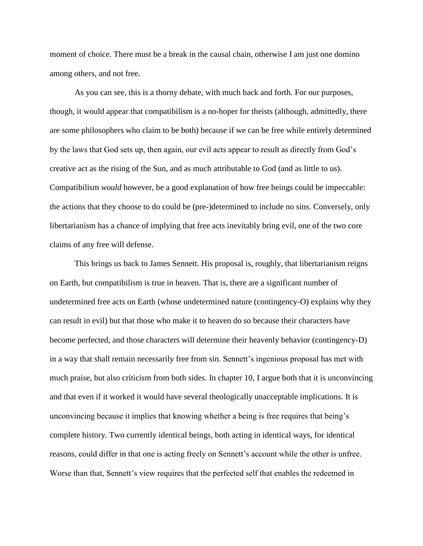moment of choice. There must be a break in the causal chain, otherwise I am just one domino among others, and not free.

As you can see, this is a thorny debate, with much back and forth. For our purposes, though, it would appear that compatibilism is a no-hoper for theists (although, admittedly, there are some philosophers who claim to be both) because if we can be free while entirely determined by the laws that God sets up, then again, our evil acts appear to result as directly from God's creative act as the rising of the Sun, and as much attributable to God (and as little to us). Compatibilism *would* however, be a good explanation of how free beings could be impeccable: the actions that they choose to do could be (pre-)determined to include no sins. Conversely, only libertarianism has a chance of implying that free acts inevitably bring evil, one of the two core claims of any free will defense.

This brings us back to James Sennett. His proposal is, roughly, that libertarianism reigns on Earth, but compatibilism is true in heaven. That is, there are a significant number of undetermined free acts on Earth (whose undetermined nature (contingency-O) explains why they can result in evil) but that those who make it to heaven do so because their characters have become perfected, and those characters will determine their heavenly behavior (contingency-D) in a way that shall remain necessarily free from sin. Sennett's ingenious proposal has met with much praise, but also criticism from both sides. In chapter 10, I argue both that it is unconvincing and that even if it worked it would have several theologically unacceptable implications. It is unconvincing because it implies that knowing whether a being is free requires that being's complete history. Two currently identical beings, both acting in identical ways, for identical reasons, could differ in that one is acting freely on Sennett's account while the other is unfree. Worse than that, Sennett's view requires that the perfected self that enables the redeemed in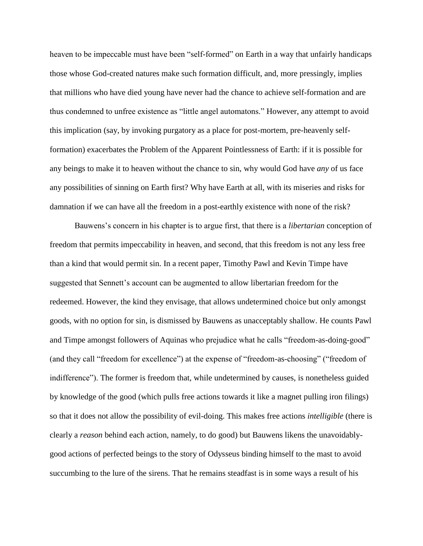heaven to be impeccable must have been "self-formed" on Earth in a way that unfairly handicaps those whose God-created natures make such formation difficult, and, more pressingly, implies that millions who have died young have never had the chance to achieve self-formation and are thus condemned to unfree existence as "little angel automatons." However, any attempt to avoid this implication (say, by invoking purgatory as a place for post-mortem, pre-heavenly selfformation) exacerbates the Problem of the Apparent Pointlessness of Earth: if it is possible for any beings to make it to heaven without the chance to sin, why would God have *any* of us face any possibilities of sinning on Earth first? Why have Earth at all, with its miseries and risks for damnation if we can have all the freedom in a post-earthly existence with none of the risk?

Bauwens's concern in his chapter is to argue first, that there is a *libertarian* conception of freedom that permits impeccability in heaven, and second, that this freedom is not any less free than a kind that would permit sin. In a recent paper, Timothy Pawl and Kevin Timpe have suggested that Sennett's account can be augmented to allow libertarian freedom for the redeemed. However, the kind they envisage, that allows undetermined choice but only amongst goods, with no option for sin, is dismissed by Bauwens as unacceptably shallow. He counts Pawl and Timpe amongst followers of Aquinas who prejudice what he calls "freedom-as-doing-good" (and they call "freedom for excellence") at the expense of "freedom-as-choosing" ("freedom of indifference"). The former is freedom that, while undetermined by causes, is nonetheless guided by knowledge of the good (which pulls free actions towards it like a magnet pulling iron filings) so that it does not allow the possibility of evil-doing. This makes free actions *intelligible* (there is clearly a *reason* behind each action, namely, to do good) but Bauwens likens the unavoidablygood actions of perfected beings to the story of Odysseus binding himself to the mast to avoid succumbing to the lure of the sirens. That he remains steadfast is in some ways a result of his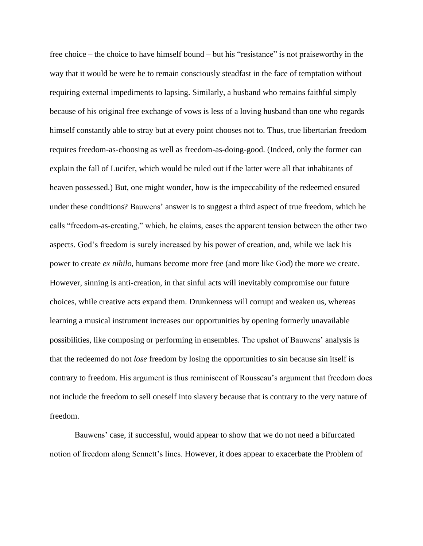free choice – the choice to have himself bound – but his "resistance" is not praiseworthy in the way that it would be were he to remain consciously steadfast in the face of temptation without requiring external impediments to lapsing. Similarly, a husband who remains faithful simply because of his original free exchange of vows is less of a loving husband than one who regards himself constantly able to stray but at every point chooses not to. Thus, true libertarian freedom requires freedom-as-choosing as well as freedom-as-doing-good. (Indeed, only the former can explain the fall of Lucifer, which would be ruled out if the latter were all that inhabitants of heaven possessed.) But, one might wonder, how is the impeccability of the redeemed ensured under these conditions? Bauwens' answer is to suggest a third aspect of true freedom, which he calls "freedom-as-creating," which, he claims, eases the apparent tension between the other two aspects. God's freedom is surely increased by his power of creation, and, while we lack his power to create *ex nihilo*, humans become more free (and more like God) the more we create. However, sinning is anti-creation, in that sinful acts will inevitably compromise our future choices, while creative acts expand them. Drunkenness will corrupt and weaken us, whereas learning a musical instrument increases our opportunities by opening formerly unavailable possibilities, like composing or performing in ensembles. The upshot of Bauwens' analysis is that the redeemed do not *lose* freedom by losing the opportunities to sin because sin itself is contrary to freedom. His argument is thus reminiscent of Rousseau's argument that freedom does not include the freedom to sell oneself into slavery because that is contrary to the very nature of freedom.

Bauwens' case, if successful, would appear to show that we do not need a bifurcated notion of freedom along Sennett's lines. However, it does appear to exacerbate the Problem of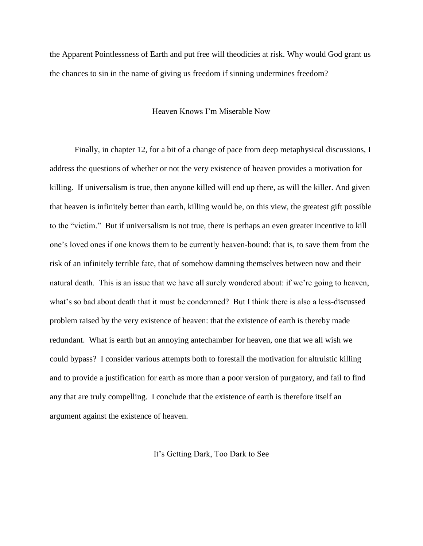the Apparent Pointlessness of Earth and put free will theodicies at risk. Why would God grant us the chances to sin in the name of giving us freedom if sinning undermines freedom?

## Heaven Knows I'm Miserable Now

Finally, in chapter 12, for a bit of a change of pace from deep metaphysical discussions, I address the questions of whether or not the very existence of heaven provides a motivation for killing. If universalism is true, then anyone killed will end up there, as will the killer. And given that heaven is infinitely better than earth, killing would be, on this view, the greatest gift possible to the "victim." But if universalism is not true, there is perhaps an even greater incentive to kill one's loved ones if one knows them to be currently heaven-bound: that is, to save them from the risk of an infinitely terrible fate, that of somehow damning themselves between now and their natural death. This is an issue that we have all surely wondered about: if we're going to heaven, what's so bad about death that it must be condemned? But I think there is also a less-discussed problem raised by the very existence of heaven: that the existence of earth is thereby made redundant. What is earth but an annoying antechamber for heaven, one that we all wish we could bypass? I consider various attempts both to forestall the motivation for altruistic killing and to provide a justification for earth as more than a poor version of purgatory, and fail to find any that are truly compelling. I conclude that the existence of earth is therefore itself an argument against the existence of heaven.

It's Getting Dark, Too Dark to See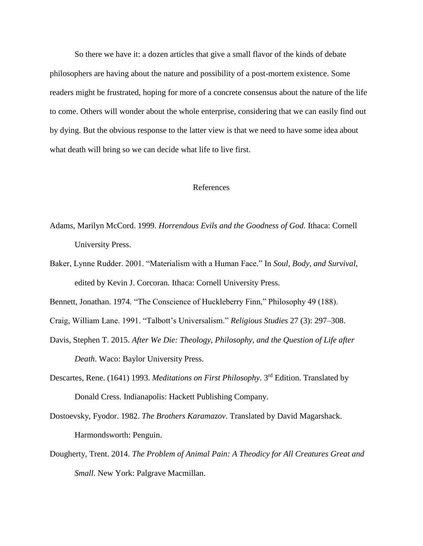So there we have it: a dozen articles that give a small flavor of the kinds of debate philosophers are having about the nature and possibility of a post-mortem existence. Some readers might be frustrated, hoping for more of a concrete consensus about the nature of the life to come. Others will wonder about the whole enterprise, considering that we can easily find out by dying. But the obvious response to the latter view is that we need to have some idea about what death will bring so we can decide what life to live first.

## References

- Adams, Marilyn McCord. 1999. *Horrendous Evils and the Goodness of God.* Ithaca: Cornell University Press.
- Baker, Lynne Rudder. 2001. "Materialism with a Human Face." In *Soul, Body, and Survival*, edited by Kevin J. Corcoran. Ithaca: Cornell University Press.

Bennett, Jonathan. 1974. "The Conscience of Huckleberry Finn," Philosophy 49 (188).

- Craig, William Lane. 1991. "Talbott's Universalism." *Religious Studies* 27 (3): 297–308.
- Davis, Stephen T. 2015. *After We Die: Theology, Philosophy, and the Question of Life after Death*. Waco: Baylor University Press.
- Descartes, Rene. (1641) 1993. *Meditations on First Philosophy*. 3rd Edition. Translated by Donald Cress. Indianapolis: Hackett Publishing Company.
- Dostoevsky, Fyodor. 1982. *The Brothers Karamazov*. Translated by David Magarshack. Harmondsworth: Penguin.
- Dougherty, Trent. 2014. *The Problem of Animal Pain: A Theodicy for All Creatures Great and Small*. New York: Palgrave Macmillan.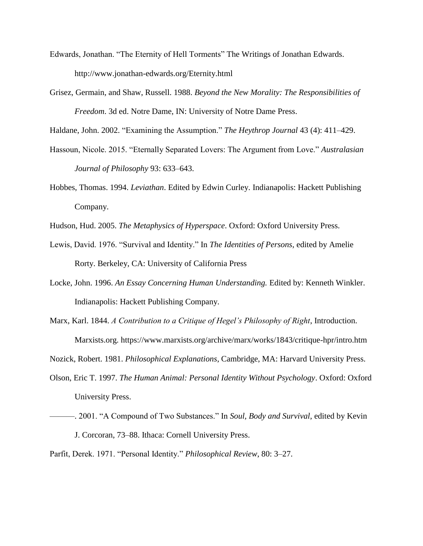- Edwards, Jonathan. "The Eternity of Hell Torments" The Writings of Jonathan Edwards. http://www.jonathan-edwards.org/Eternity.html
- Grisez, Germain, and Shaw, Russell. 1988. *Beyond the New Morality: The Responsibilities of Freedom*. 3d ed. Notre Dame, IN: University of Notre Dame Press.

Haldane, John. 2002. "Examining the Assumption." *The Heythrop Journal* 43 (4): 411–429.

- Hassoun, Nicole. 2015. "Eternally Separated Lovers: The Argument from Love." *Australasian Journal of Philosophy* 93: 633–643.
- Hobbes, Thomas. 1994. *Leviathan*. Edited by Edwin Curley. Indianapolis: Hackett Publishing Company.
- Hudson, Hud. 2005. *The Metaphysics of Hyperspace*. Oxford: Oxford University Press.
- Lewis, David. 1976. "Survival and Identity." In *The Identities of Persons*, edited by Amelie Rorty. Berkeley, CA: University of California Press
- Locke, John. 1996. *An Essay Concerning Human Understanding.* Edited by: Kenneth Winkler. Indianapolis: Hackett Publishing Company.
- Marx, Karl. 1844. *A Contribution to a Critique of Hegel's Philosophy of Right*, Introduction. Marxists.org. https://www.marxists.org/archive/marx/works/1843/critique-hpr/intro.htm
- Nozick, Robert. 1981. *Philosophical Explanations*, Cambridge, MA: Harvard University Press.
- Olson, Eric T. 1997. *The Human Animal: Personal Identity Without Psychology*. Oxford: Oxford University Press.
- ———. 2001. "A Compound of Two Substances." In *Soul, Body and Survival*, edited by Kevin J. Corcoran, 73–88. Ithaca: Cornell University Press.
- Parfit, Derek. 1971. "Personal Identity." *Philosophical Review*, 80: 3–27.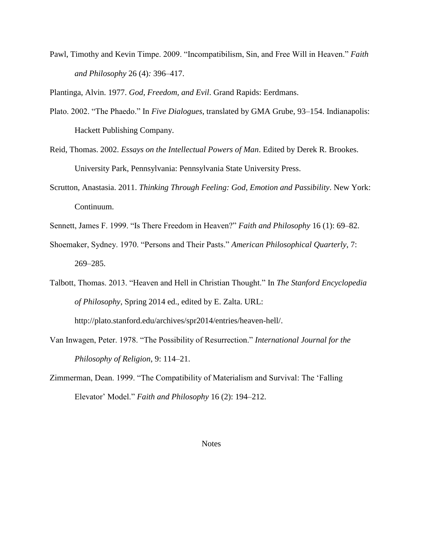Pawl, Timothy and Kevin Timpe. 2009. "Incompatibilism, Sin, and Free Will in Heaven." *Faith and Philosophy* 26 (4)*:* 396–417.

Plantinga, Alvin. 1977. *God, Freedom, and Evil*. Grand Rapids: Eerdmans.

- Plato. 2002. "The Phaedo." In *Five Dialogues*, translated by GMA Grube, 93–154. Indianapolis: Hackett Publishing Company.
- Reid, Thomas. 2002. *Essays on the Intellectual Powers of Man*. Edited by Derek R. Brookes. University Park, Pennsylvania: Pennsylvania State University Press.
- Scrutton, Anastasia. 2011. *Thinking Through Feeling: God, Emotion and Passibility*. New York: Continuum.
- Sennett, James F. 1999. "Is There Freedom in Heaven?" *Faith and Philosophy* 16 (1): 69–82.
- Shoemaker, Sydney. 1970. "Persons and Their Pasts." *American Philosophical Quarterly*, 7: 269–285.
- Talbott, Thomas. 2013. "Heaven and Hell in Christian Thought." In *The Stanford Encyclopedia of Philosophy*, Spring 2014 ed., edited by E. Zalta. URL:

http://plato.stanford.edu/archives/spr2014/entries/heaven-hell/.

- Van Inwagen, Peter. 1978. "The Possibility of Resurrection." *International Journal for the Philosophy of Religion*, 9: 114–21.
- Zimmerman, Dean. 1999. "The Compatibility of Materialism and Survival: The 'Falling Elevator' Model." *Faith and Philosophy* 16 (2): 194–212.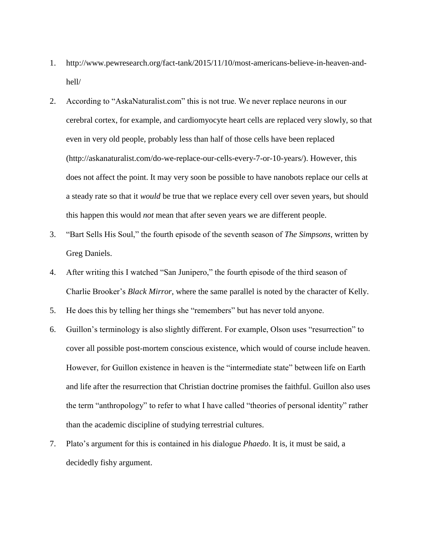- 1. http://www.pewresearch.org/fact-tank/2015/11/10/most-americans-believe-in-heaven-andhell/
- 2. According to "AskaNaturalist.com" this is not true. We never replace neurons in our cerebral cortex, for example, and cardiomyocyte heart cells are replaced very slowly, so that even in very old people, probably less than half of those cells have been replaced (http://askanaturalist.com/do-we-replace-our-cells-every-7-or-10-years/). However, this does not affect the point. It may very soon be possible to have nanobots replace our cells at a steady rate so that it *would* be true that we replace every cell over seven years, but should this happen this would *not* mean that after seven years we are different people.
- 3. "Bart Sells His Soul," the fourth episode of the seventh season of *The Simpsons*, written by Greg Daniels.
- 4. After writing this I watched "San Junipero," the fourth episode of the third season of Charlie Brooker's *Black Mirror*, where the same parallel is noted by the character of Kelly.
- 5. He does this by telling her things she "remembers" but has never told anyone.
- 6. Guillon's terminology is also slightly different. For example, Olson uses "resurrection" to cover all possible post-mortem conscious existence, which would of course include heaven. However, for Guillon existence in heaven is the "intermediate state" between life on Earth and life after the resurrection that Christian doctrine promises the faithful. Guillon also uses the term "anthropology" to refer to what I have called "theories of personal identity" rather than the academic discipline of studying terrestrial cultures.
- 7. Plato's argument for this is contained in his dialogue *Phaedo*. It is, it must be said, a decidedly fishy argument.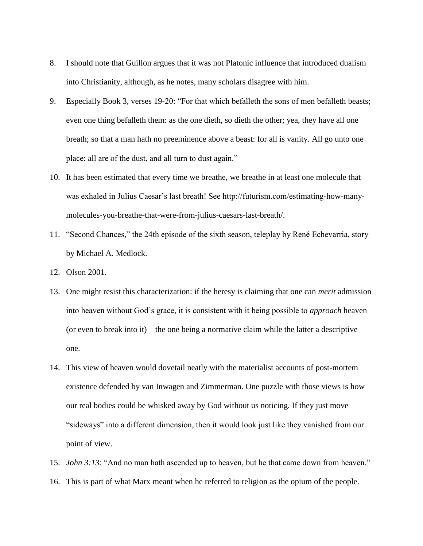- 8. I should note that Guillon argues that it was not Platonic influence that introduced dualism into Christianity, although, as he notes, many scholars disagree with him.
- 9. Especially Book 3, verses 19-20: "For that which befalleth the sons of men befalleth beasts; even one thing befalleth them: as the one dieth, so dieth the other; yea, they have all one breath; so that a man hath no preeminence above a beast: for all is vanity. All go unto one place; all are of the dust, and all turn to dust again."
- 10. It has been estimated that every time we breathe, we breathe in at least one molecule that was exhaled in Julius Caesar's last breath! See http://futurism.com/estimating-how-manymolecules-you-breathe-that-were-from-julius-caesars-last-breath/.
- 11. "Second Chances," the 24th episode of the sixth season, teleplay by René Echevarria, story by Michael A. Medlock.
- 12. Olson 2001.
- 13. One might resist this characterization: if the heresy is claiming that one can *merit* admission into heaven without God's grace, it is consistent with it being possible to *approach* heaven (or even to break into it) – the one being a normative claim while the latter a descriptive one.
- 14. This view of heaven would dovetail neatly with the materialist accounts of post-mortem existence defended by van Inwagen and Zimmerman. One puzzle with those views is how our real bodies could be whisked away by God without us noticing. If they just move "sideways" into a different dimension, then it would look just like they vanished from our point of view.
- 15. *John 3:13*: "And no man hath ascended up to heaven, but he that came down from heaven."
- 16. This is part of what Marx meant when he referred to religion as the opium of the people.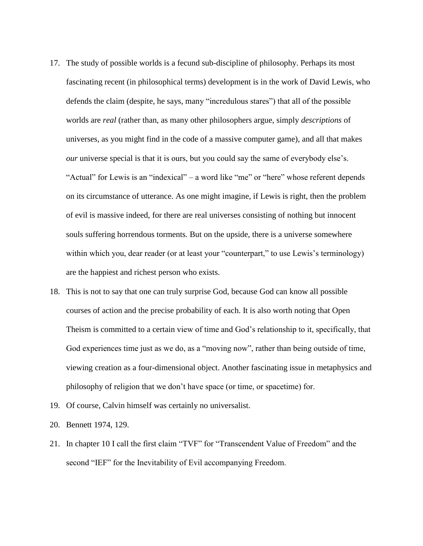- 17. The study of possible worlds is a fecund sub-discipline of philosophy. Perhaps its most fascinating recent (in philosophical terms) development is in the work of David Lewis, who defends the claim (despite, he says, many "incredulous stares") that all of the possible worlds are *real* (rather than, as many other philosophers argue, simply *descriptions* of universes, as you might find in the code of a massive computer game), and all that makes *our* universe special is that it is ours, but you could say the same of everybody else's. "Actual" for Lewis is an "indexical" – a word like "me" or "here" whose referent depends on its circumstance of utterance. As one might imagine, if Lewis is right, then the problem of evil is massive indeed, for there are real universes consisting of nothing but innocent souls suffering horrendous torments. But on the upside, there is a universe somewhere within which you, dear reader (or at least your "counterpart," to use Lewis's terminology) are the happiest and richest person who exists.
- 18. This is not to say that one can truly surprise God, because God can know all possible courses of action and the precise probability of each. It is also worth noting that Open Theism is committed to a certain view of time and God's relationship to it, specifically, that God experiences time just as we do, as a "moving now", rather than being outside of time, viewing creation as a four-dimensional object. Another fascinating issue in metaphysics and philosophy of religion that we don't have space (or time, or spacetime) for.
- 19. Of course, Calvin himself was certainly no universalist.
- 20. Bennett 1974, 129.
- 21. In chapter 10 I call the first claim "TVF" for "Transcendent Value of Freedom" and the second "IEF" for the Inevitability of Evil accompanying Freedom.